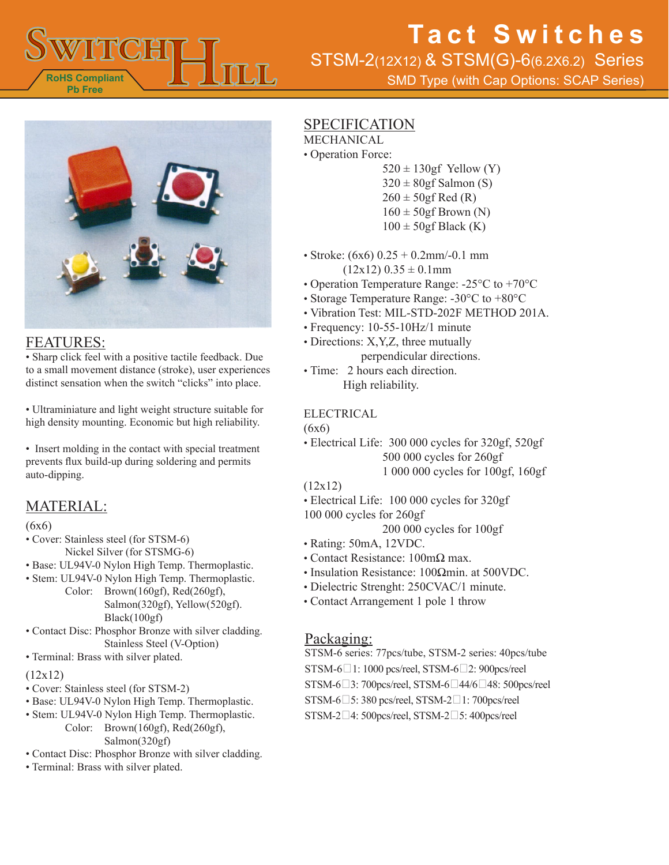

STSM-2(12X12) & STSM(G)-6(6.2X6.2) Series

SMD Type (with Cap Options: SCAP Series)



### FEATURES:

• Sharp click feel with a positive tactile feedback. Due to a small movement distance (stroke), user experiences distinct sensation when the switch "clicks" into place.

• Ultraminiature and light weight structure suitable for high density mounting. Economic but high reliability.

• Insert molding in the contact with special treatment prevents flux build-up during soldering and permits auto-dipping.

### MATERIAL:

#### (6x6)

- Cover: Stainless steel (for STSM-6) Nickel Silver (for STSMG-6)
- Base: UL94V-0 Nylon High Temp. Thermoplastic.
- Stem: UL94V-0 Nylon High Temp. Thermoplastic. Color: Brown(160gf), Red(260gf), Salmon(320gf), Yellow(520gf). Black(100gf)

• Contact Disc: Phosphor Bronze with silver cladding. Stainless Steel (V-Option)

• Terminal: Brass with silver plated.

#### (12x12)

- Cover: Stainless steel (for STSM-2)
- Base: UL94V-0 Nylon High Temp. Thermoplastic.
- Stem: UL94V-0 Nylon High Temp. Thermoplastic.
	- Color: Brown(160gf), Red(260gf), Salmon(320gf)
- Contact Disc: Phosphor Bronze with silver cladding.
- Terminal: Brass with silver plated.

### **SPECIFICATION**

- MECHANICAL
- Operation Force:
	- $520 \pm 130$ gf Yellow (Y)  $320 \pm 80$ gf Salmon (S)  $260 \pm 50$ gf Red (R)  $160 \pm 50$ gf Brown (N)  $100 \pm 50$ gf Black (K)
- Stroke:  $(6x6)$  0.25 + 0.2mm/-0.1 mm  $(12x12)$  0.35  $\pm$  0.1mm
- Operation Temperature Range: -25°C to +70°C
- Storage Temperature Range: -30°C to +80°C
- Vibration Test: MIL-STD-202F METHOD 201A.
- Frequency: 10-55-10Hz/1 minute
- Directions: X,Y,Z, three mutually perpendicular directions.
- Time: 2 hours each direction. High reliability.

#### ELECTRICAL

 $(6x6)$ 

• Electrical Life: 300 000 cycles for 320gf, 520gf 500 000 cycles for 260gf 1 000 000 cycles for 100gf, 160gf

#### (12x12)

- Electrical Life: 100 000 cycles for 320gf
- 100 000 cycles for 260gf

200 000 cycles for 100gf

- Rating: 50mA, 12VDC.
- Contact Resistance: 100mΩ max.
- Insulation Resistance: 100Ωmin. at 500VDC.
- Dielectric Strenght: 250CVAC/1 minute.
- Contact Arrangement 1 pole 1 throw

### Packaging:

STSM-6 series: 77pcs/tube, STSM-2 series: 40pcs/tube STSM-6<sup>1</sup>: 1000 pcs/reel, STSM-6<sup>2</sup>: 900pcs/reel STSM-6<sup>3</sup>: 700pcs/reel, STSM-6<sup>14</sup>4/6<sup>1</sup>48: 500pcs/reel  $STSM-6\square$ 5: 380 pcs/reel,  $STSM-2\square$ 1: 700pcs/reel  $STSM-2\square$ 4: 500pcs/reel,  $STSM-2\square$ 5: 400pcs/reel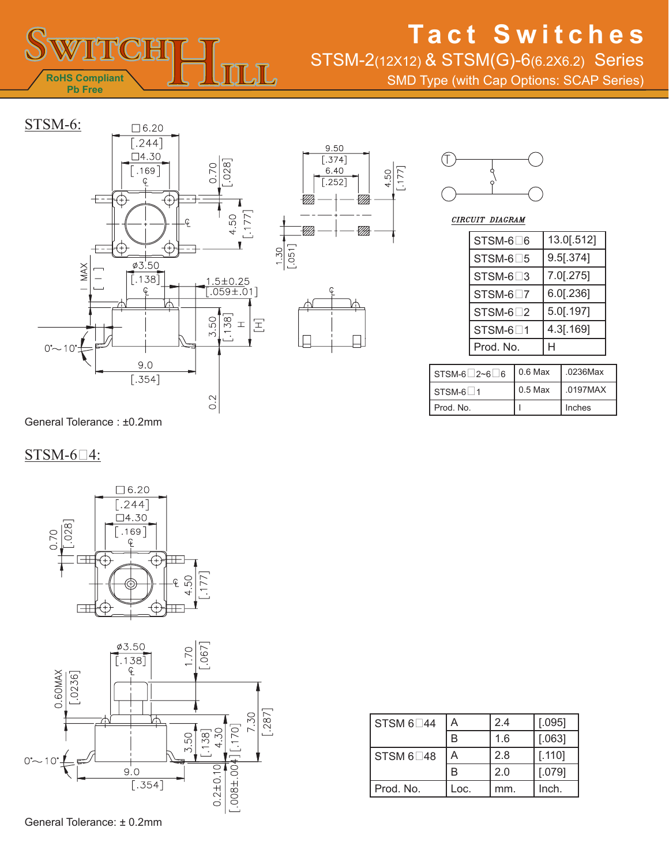

STSM-2(12X12) & STSM(G)-6(6.2X6.2) Series

SMD Type (with Cap Options: SCAP Series)









CIRCUIT DIAGRAM

| STSM-6□6  | 13.0[.512]   |
|-----------|--------------|
| STSM-6□5  | $9.5$ [.374] |
| STSM-6□3  | 7.0[.275]    |
| STSM-6□7  | 6.0[.236]    |
| STSM-6□2  | 5.0[.197]    |
| STSM-6□1  | 4.3[.169]    |
| Prod. No. |              |

| $STSM-6$ 2~6 6  | $0.6$ Max | .0236Max |
|-----------------|-----------|----------|
| <b>STSM-6 1</b> | $0.5$ Max | .0197MAX |
| l Prod. No.     |           | Inches   |

General Tolerance : ±0.2mm

### $STSM-6-4$ :



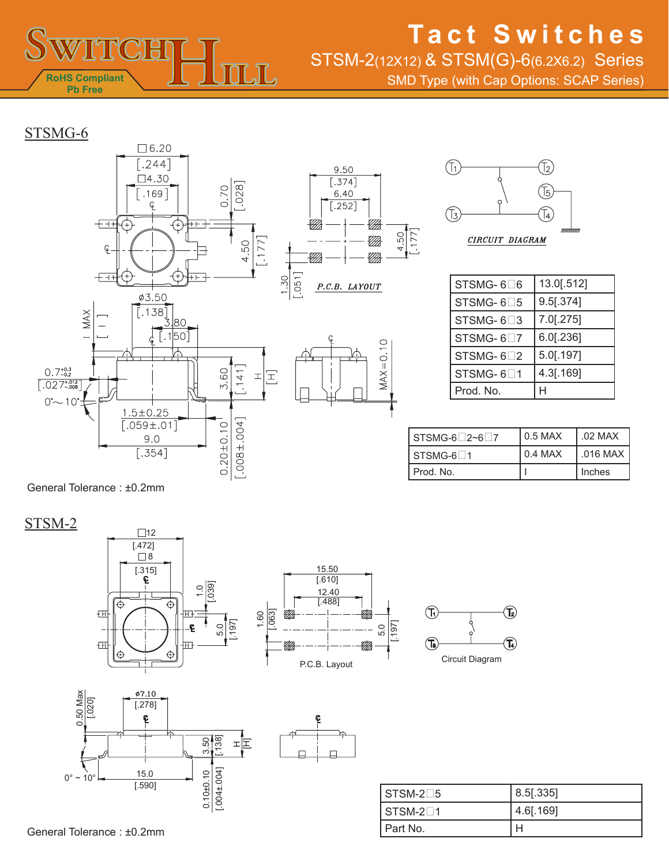

STSM-2(12X12) & STSM(G)-6(6.2X6.2) Series

SMD Type (with Cap Options: SCAP Series)

### STSMG-6





| STSMG-6□6 | 13.0[.512]   |  |
|-----------|--------------|--|
| STSMG-6□5 | 9.5[.374]    |  |
| STSMG-6□3 | 7.0[.275]    |  |
| STSMG-6□7 | $6.0$ [.236] |  |
| STSMG-6□2 | 5.0[.197]    |  |
| STSMG-6□1 | 4.3[.169]    |  |
| Prod. No. |              |  |

| $STSMG-6$ 2~6 7        | $0.5$ MAX | 1.02 MAX           |
|------------------------|-----------|--------------------|
| $STSMG-6$ <sup>1</sup> | $0.4$ MAX | $\,$ .016 MAX $\,$ |
| Prod. No.              |           | Inches             |

General Tolerance : ±0.2mm

### STSM-2









| $STSM-2\square 5$ | $8.5$ [.335] |
|-------------------|--------------|
| $STSM-21$         | $4.6$ [.169] |
| Part No.          |              |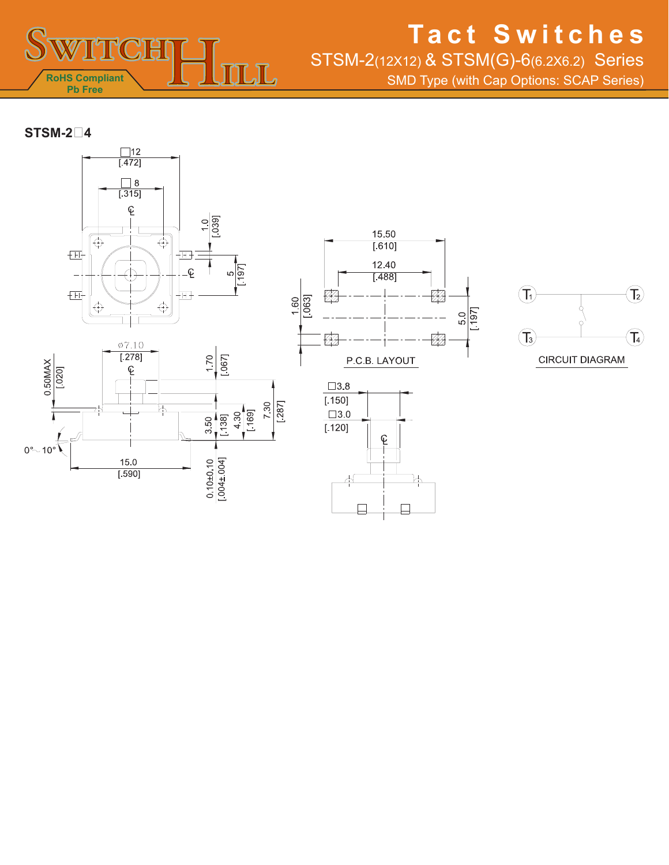

STSM-2(12X12) & STSM(G)-6(6.2X6.2) Series

SMD Type (with Cap Options: SCAP Series)

**STSM-24**









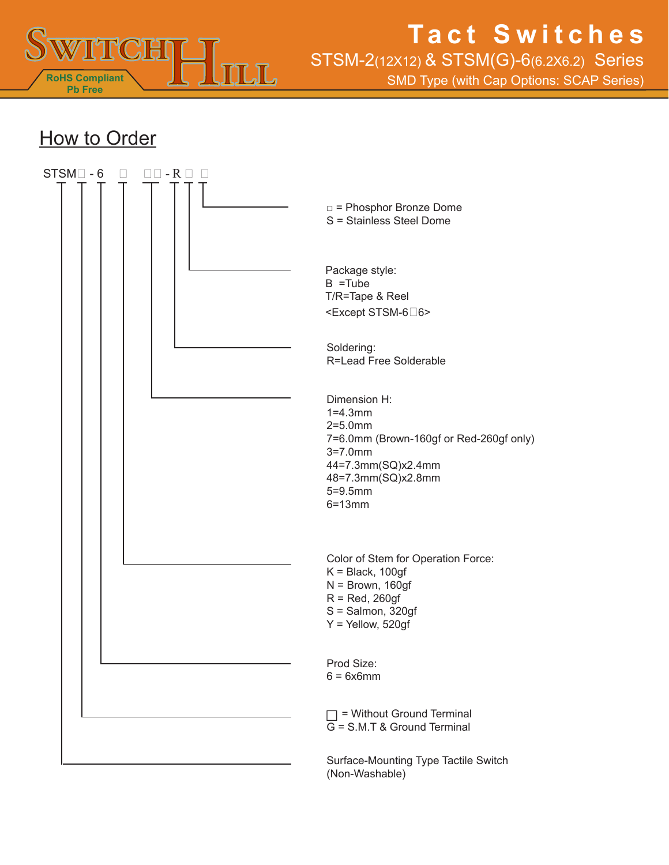

STSM-2(12X12) & STSM(G)-6(6.2X6.2) Series

SMD Type (with Cap Options: SCAP Series)

### **How to Order**